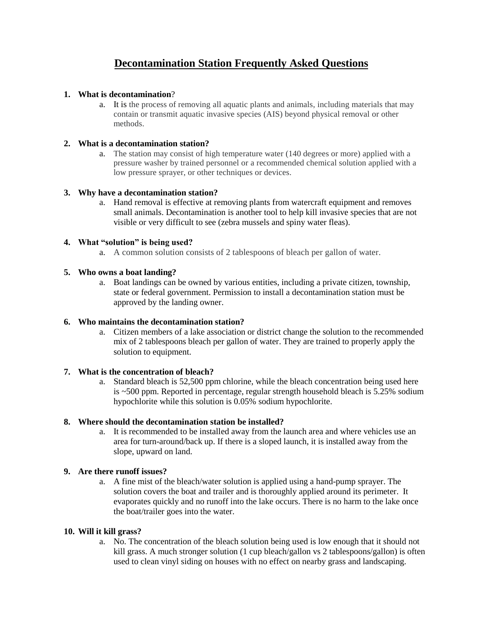# **Decontamination Station Frequently Asked Questions**

## **1. What is decontamination**?

a. It is the process of removing all aquatic plants and animals, including materials that may contain or transmit aquatic invasive species (AIS) beyond physical removal or other methods.

## **2. What is a decontamination station?**

a. The station may consist of high temperature water (140 degrees or more) applied with a pressure washer by trained personnel or a recommended chemical solution applied with a low pressure sprayer, or other techniques or devices.

## **3. Why have a decontamination station?**

a. Hand removal is effective at removing plants from watercraft equipment and removes small animals. Decontamination is another tool to help kill invasive species that are not visible or very difficult to see (zebra mussels and spiny water fleas).

## **4. What "solution" is being used?**

a. A common solution consists of 2 tablespoons of bleach per gallon of water.

## **5. Who owns a boat landing?**

a. Boat landings can be owned by various entities, including a private citizen, township, state or federal government. Permission to install a decontamination station must be approved by the landing owner.

### **6. Who maintains the decontamination station?**

a. Citizen members of a lake association or district change the solution to the recommended mix of 2 tablespoons bleach per gallon of water. They are trained to properly apply the solution to equipment.

### **7. What is the concentration of bleach?**

a. Standard bleach is 52,500 ppm chlorine, while the bleach concentration being used here is ~500 ppm. Reported in percentage, regular strength household bleach is 5.25% sodium hypochlorite while this solution is 0.05% sodium hypochlorite.

### **8. Where should the decontamination station be installed?**

a. It is recommended to be installed away from the launch area and where vehicles use an area for turn-around/back up. If there is a sloped launch, it is installed away from the slope, upward on land.

### **9. Are there runoff issues?**

a. A fine mist of the bleach/water solution is applied using a hand-pump sprayer. The solution covers the boat and trailer and is thoroughly applied around its perimeter. It evaporates quickly and no runoff into the lake occurs. There is no harm to the lake once the boat/trailer goes into the water.

### **10. Will it kill grass?**

a. No. The concentration of the bleach solution being used is low enough that it should not kill grass. A much stronger solution (1 cup bleach/gallon vs 2 tablespoons/gallon) is often used to clean vinyl siding on houses with no effect on nearby grass and landscaping.